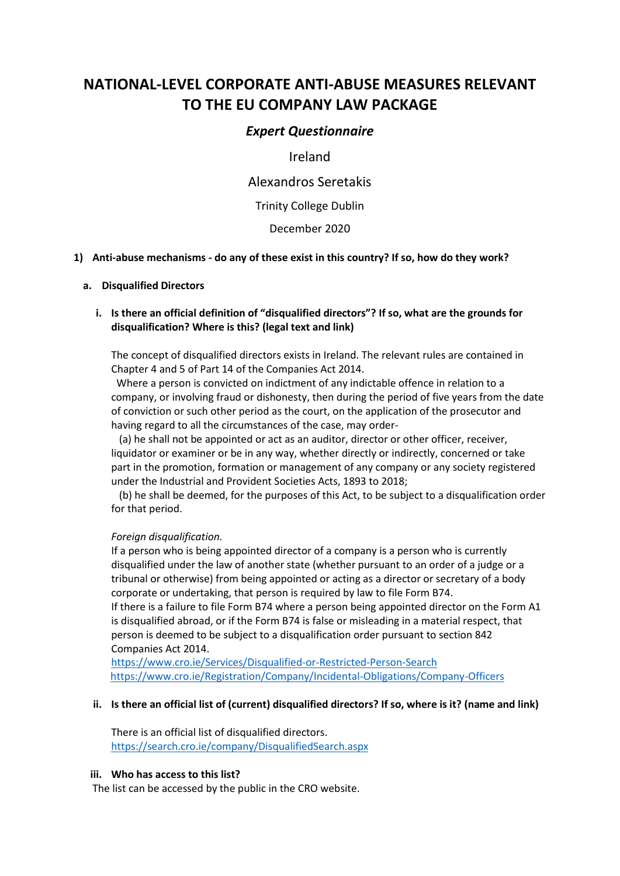# **NATIONAL-LEVEL CORPORATE ANTI-ABUSE MEASURES RELEVANT TO THE EU COMPANY LAW PACKAGE**

# *Expert Questionnaire*

Ireland

Alexandros Seretakis

Trinity College Dublin

December 2020

#### **1) Anti-abuse mechanisms - do any of these exist in this country? If so, how do they work?**

#### **a. Disqualified Directors**

# **i. Is there an official definition of "disqualified directors"? If so, what are the grounds for disqualification? Where is this? (legal text and link)**

The concept of disqualified directors exists in Ireland. The relevant rules are contained in Chapter 4 and 5 of Part 14 of the Companies Act 2014.

Where a person is convicted on indictment of any indictable offence in relation to a company, or involving fraud or dishonesty, then during the period of five years from the date of conviction or such other period as the court, on the application of the prosecutor and having regard to all the circumstances of the case, may order-

 (a) he shall not be appointed or act as an auditor, director or other officer, receiver, liquidator or examiner or be in any way, whether directly or indirectly, concerned or take part in the promotion, formation or management of any company or any society registered under the Industrial and Provident Societies Acts, 1893 to 2018;

 (b) he shall be deemed, for the purposes of this Act, to be subject to a disqualification order for that period.

#### *Foreign disqualification.*

If a person who is being appointed director of a company is a person who is currently disqualified under the law of another state (whether pursuant to an order of a judge or a tribunal or otherwise) from being appointed or acting as a director or secretary of a body corporate or undertaking, that person is required by law to file Form B74.

If there is a failure to file Form B74 where a person being appointed director on the Form A1 is disqualified abroad, or if the Form B74 is false or misleading in a material respect, that person is deemed to be subject to a disqualification order pursuant to section 842 Companies Act 2014.

<https://www.cro.ie/Services/Disqualified-or-Restricted-Person-Search> <https://www.cro.ie/Registration/Company/Incidental-Obligations/Company-Officers>

#### **ii. Is there an official list of (current) disqualified directors? If so, where is it? (name and link)**

There is an official list of disqualified directors. <https://search.cro.ie/company/DisqualifiedSearch.aspx>

#### **iii. Who has access to this list?**

The list can be accessed by the public in the CRO website.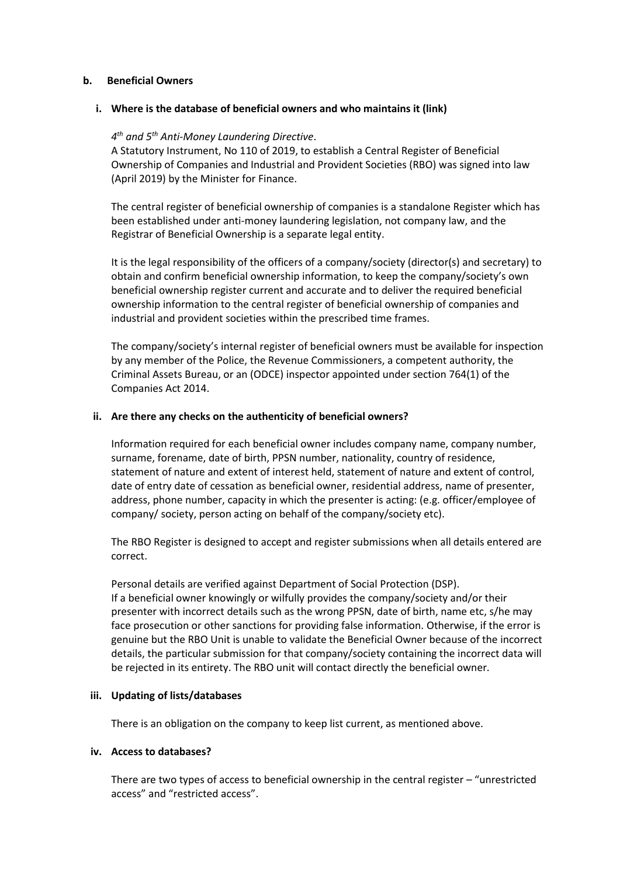#### **b. Beneficial Owners**

#### **i. Where is the database of beneficial owners and who maintains it (link)**

# *4 th and 5th Anti-Money Laundering Directive*.

A Statutory Instrument, No 110 of 2019, to establish a Central Register of Beneficial Ownership of Companies and Industrial and Provident Societies (RBO) was signed into law (April 2019) by the Minister for Finance.

The central register of beneficial ownership of companies is a standalone Register which has been established under anti-money laundering legislation, not company law, and the Registrar of Beneficial Ownership is a separate legal entity.

It is the legal responsibility of the officers of a company/society (director(s) and secretary) to obtain and confirm beneficial ownership information, to keep the company/society's own beneficial ownership register current and accurate and to deliver the required beneficial ownership information to the central register of beneficial ownership of companies and industrial and provident societies within the prescribed time frames.

The company/society's internal register of beneficial owners must be available for inspection by any member of the Police, the Revenue Commissioners, a competent authority, the Criminal Assets Bureau, or an (ODCE) inspector appointed under section 764(1) of the Companies Act 2014.

#### **ii. Are there any checks on the authenticity of beneficial owners?**

Information required for each beneficial owner includes company name, company number, surname, forename, date of birth, PPSN number, nationality, country of residence, statement of nature and extent of interest held, statement of nature and extent of control, date of entry date of cessation as beneficial owner, residential address, name of presenter, address, phone number, capacity in which the presenter is acting: (e.g. officer/employee of company/ society, person acting on behalf of the company/society etc).

The RBO Register is designed to accept and register submissions when all details entered are correct.

Personal details are verified against Department of Social Protection (DSP). If a beneficial owner knowingly or wilfully provides the company/society and/or their presenter with incorrect details such as the wrong PPSN, date of birth, name etc, s/he may face prosecution or other sanctions for providing false information. Otherwise, if the error is genuine but the RBO Unit is unable to validate the Beneficial Owner because of the incorrect details, the particular submission for that company/society containing the incorrect data will be rejected in its entirety. The RBO unit will contact directly the beneficial owner.

#### **iii. Updating of lists/databases**

There is an obligation on the company to keep list current, as mentioned above.

#### **iv. Access to databases?**

There are two types of access to beneficial ownership in the central register – "unrestricted access" and "restricted access".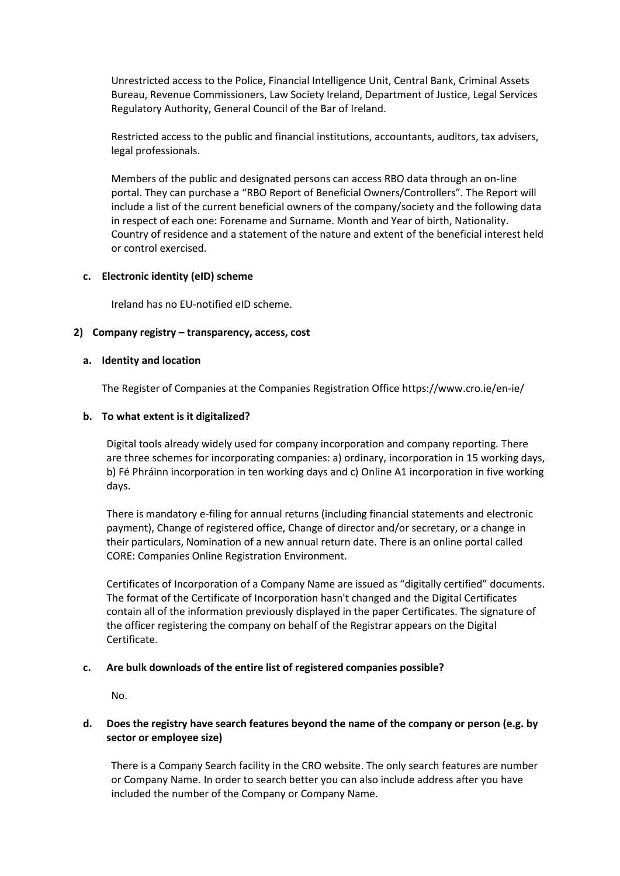Unrestricted access to the Police, Financial Intelligence Unit, Central Bank, Criminal Assets Bureau, Revenue Commissioners, Law Society Ireland, Department of Justice, Legal Services Regulatory Authority, General Council of the Bar of Ireland.

Restricted access to the public and financial institutions, accountants, auditors, tax advisers, legal professionals.

Members of the public and designated persons can access RBO data through an on-line portal. They can purchase a "RBO Report of Beneficial Owners/Controllers". The Report will include a list of the current beneficial owners of the company/society and the following data in respect of each one: Forename and Surname. Month and Year of birth, Nationality. Country of residence and a statement of the nature and extent of the beneficial interest held or control exercised.

#### **c. Electronic identity (eID) scheme**

Ireland has no EU-notified eID scheme.

#### **2) Company registry – transparency, access, cost**

#### **a. Identity and location**

The Register of Companies at the Companies Registration Office https://www.cro.ie/en-ie/

#### **b. To what extent is it digitalized?**

Digital tools already widely used for company incorporation and company reporting. There are three schemes for incorporating companies: a) ordinary, incorporation in 15 working days, b) Fé Phráinn incorporation in ten working days and c) Online A1 incorporation in five working days.

There is mandatory e-filing for annual returns (including financial statements and electronic payment), Change of registered office, Change of director and/or secretary, or a change in their particulars, Nomination of a new annual return date. There is an online portal called CORE: Companies Online Registration Environment.

Certificates of Incorporation of a Company Name are issued as "digitally certified" documents. The format of the Certificate of Incorporation hasn't changed and the Digital Certificates contain all of the information previously displayed in the paper Certificates. The signature of the officer registering the company on behalf of the Registrar appears on the Digital Certificate.

#### **c. Are bulk downloads of the entire list of registered companies possible?**

No.

# **d. Does the registry have search features beyond the name of the company or person (e.g. by sector or employee size)**

There is a Company Search facility in the CRO website. The only search features are number or Company Name. In order to search better you can also include address after you have included the number of the Company or Company Name.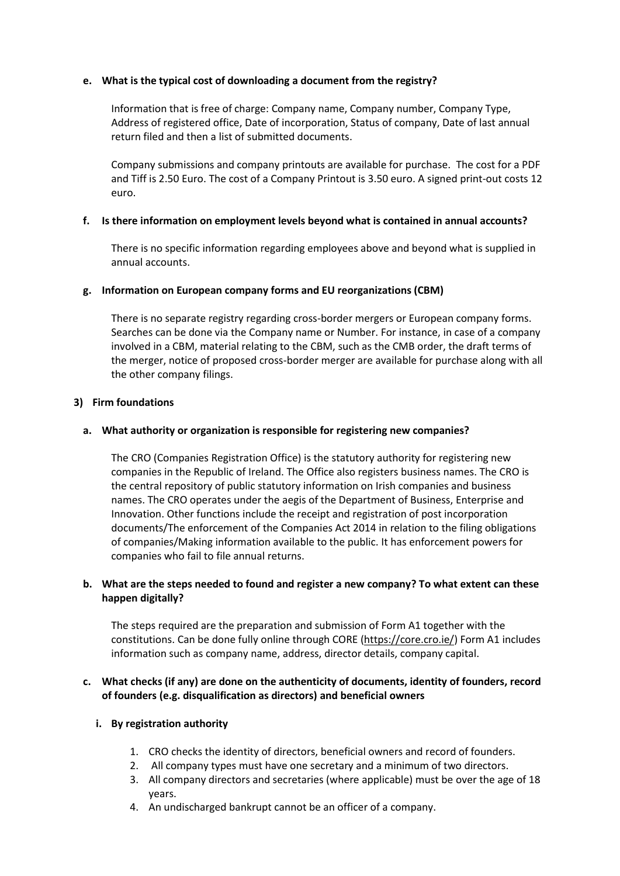# **e. What is the typical cost of downloading a document from the registry?**

Information that is free of charge: Company name, Company number, Company Type, Address of registered office, Date of incorporation, Status of company, Date of last annual return filed and then a list of submitted documents.

Company submissions and company printouts are available for purchase. The cost for a PDF and Tiff is 2.50 Euro. The cost of a Company Printout is 3.50 euro. A signed print-out costs 12 euro.

#### **f. Is there information on employment levels beyond what is contained in annual accounts?**

There is no specific information regarding employees above and beyond what is supplied in annual accounts.

# **g. Information on European company forms and EU reorganizations (CBM)**

There is no separate registry regarding cross-border mergers or European company forms. Searches can be done via the Company name or Number. For instance, in case of a company involved in a CBM, material relating to the CBM, such as the CMB order, the draft terms of the merger, notice of proposed cross-border merger are available for purchase along with all the other company filings.

# **3) Firm foundations**

# **a. What authority or organization is responsible for registering new companies?**

The CRO (Companies Registration Office) is the statutory authority for registering new companies in the Republic of Ireland. The Office also registers business names. The CRO is the central repository of public statutory information on Irish companies and business names. The CRO operates under the aegis of the Department of Business, Enterprise and Innovation. Other functions include the receipt and registration of post incorporation documents/The enforcement of the Companies Act 2014 in relation to the filing obligations of companies/Making information available to the public. It has enforcement powers for companies who fail to file annual returns.

# **b. What are the steps needed to found and register a new company? To what extent can these happen digitally?**

The steps required are the preparation and submission of Form A1 together with the constitutions. Can be done fully online through CORE [\(https://core.cro.ie/\)](https://core.cro.ie/) Form A1 includes information such as company name, address, director details, company capital.

# **c. What checks (if any) are done on the authenticity of documents, identity of founders, record of founders (e.g. disqualification as directors) and beneficial owners**

# **i. By registration authority**

- 1. CRO checks the identity of directors, beneficial owners and record of founders.
- 2. All company types must have one secretary and a minimum of two directors.
- 3. All company directors and secretaries (where applicable) must be over the age of 18 years.
- 4. An undischarged bankrupt cannot be an officer of a company.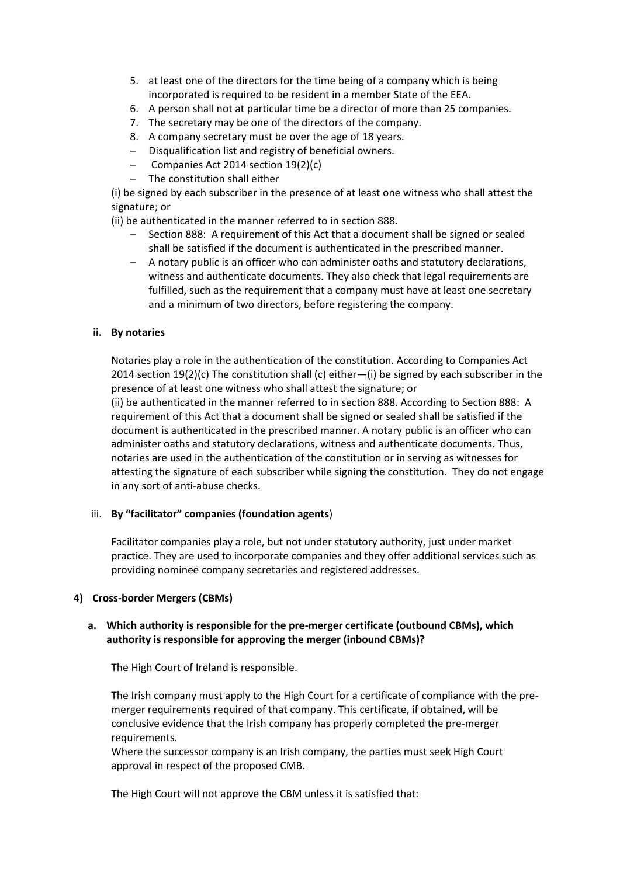- 5. at least one of the directors for the time being of a company which is being incorporated is required to be resident in a member State of the EEA.
- 6. A person shall not at particular time be a director of more than 25 companies.
- 7. The secretary may be one of the directors of the company.
- 8. A company secretary must be over the age of 18 years.
- ‒ Disqualification list and registry of beneficial owners.
- ‒ Companies Act 2014 section 19(2)(c)
- ‒ The constitution shall either

(i) be signed by each subscriber in the presence of at least one witness who shall attest the signature; or

(ii) be authenticated in the manner referred to in section 888.

- ‒ Section 888: A requirement of this Act that a document shall be signed or sealed shall be satisfied if the document is authenticated in the prescribed manner.
- ‒ A notary public is an officer who can administer oaths and statutory declarations, witness and authenticate documents. They also check that legal requirements are fulfilled, such as the requirement that a company must have at least one secretary and a minimum of two directors, before registering the company.

# **ii. By notaries**

Notaries play a role in the authentication of the constitution. According to Companies Act 2014 section 19(2)(c) The constitution shall (c) either—(i) be signed by each subscriber in the presence of at least one witness who shall attest the signature; or (ii) be authenticated in the manner referred to in section 888. According to Section 888: A requirement of this Act that a document shall be signed or sealed shall be satisfied if the document is authenticated in the prescribed manner. A notary public is an officer who can administer oaths and statutory declarations, witness and authenticate documents. Thus, notaries are used in the authentication of the constitution or in serving as witnesses for attesting the signature of each subscriber while signing the constitution. They do not engage in any sort of anti-abuse checks.

# iii. **By "facilitator" companies (foundation agents**)

Facilitator companies play a role, but not under statutory authority, just under market practice. They are used to incorporate companies and they offer additional services such as providing nominee company secretaries and registered addresses.

# **4) Cross-border Mergers (CBMs)**

# **a. Which authority is responsible for the pre-merger certificate (outbound CBMs), which authority is responsible for approving the merger (inbound CBMs)?**

The High Court of Ireland is responsible.

The Irish company must apply to the High Court for a certificate of compliance with the premerger requirements required of that company. This certificate, if obtained, will be conclusive evidence that the Irish company has properly completed the pre-merger requirements.

Where the successor company is an Irish company, the parties must seek High Court approval in respect of the proposed CMB.

The High Court will not approve the CBM unless it is satisfied that: